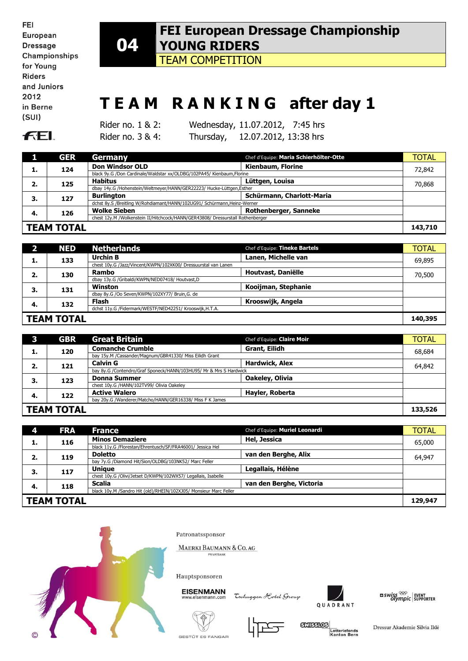| FEI             |
|-----------------|
| European        |
| <b>Dressage</b> |
| Championships   |
| for Young       |
| <b>Riders</b>   |
| and Juniors     |
| 2012            |
| in Berne        |
| (SUI)           |
|                 |



TEAM COMPETITION

## **T E A M R A N K I N G after day 1**

**FEL** 

Rider no. 1 & 2: Wednesday, 11.07.2012, 7:45 hrs Rider no. 3 & 4: Thursday, 12.07.2012, 13:38 hrs

|                   | <b>GER</b> | <b>Germany</b>                                                                 | Chef d'Equipe: Maria Schierhölter-Otte | <b>TOTAL</b> |
|-------------------|------------|--------------------------------------------------------------------------------|----------------------------------------|--------------|
|                   | 124        | <b>Don Windsor OLD</b>                                                         | Kienbaum, Florine                      | 72,842       |
|                   |            | black 9y.G /Don Cardinale/Waldstar xx/OLDBG/102PA45/ Kienbaum,Florine          |                                        |              |
| 2.                | 125        | <b>Habitus</b>                                                                 | Lüttgen, Louisa                        | 70,868       |
|                   |            | dbay 14y.G /Hohenstein/Weltmeyer/HANN/GER22223/ Hucke-Lüttgen,Esther           |                                        |              |
| З.                | 127        | <b>Burlington</b>                                                              | Schürmann, Charlott-Maria              |              |
|                   |            | dchst 8y.S /Breitling W/Rohdiamant/HANN/102UG91/ Schürmann, Heinz-Werner       |                                        |              |
| 4.                | 126        | <b>Wolke Sieben</b>                                                            | <b>Rothenberger, Sanneke</b>           |              |
|                   |            | chest 12y.M /Wolkenstein II/Hitchcock/HANN/GER43808/ Dressurstall Rothenberger |                                        |              |
| <b>TEAM TOTAL</b> |            |                                                                                | 143,710                                |              |

|                   | <b>NED</b> | <b>Netherlands</b>                                             | Chef d'Equipe: Tineke Bartels | <b>TOTAL</b> |
|-------------------|------------|----------------------------------------------------------------|-------------------------------|--------------|
|                   | 133        | <b>Urchin B</b>                                                | Lanen, Michelle van           | 69,895       |
| л.                |            | chest 10y.G /Jazz/Vincent/KWPN/102XK00/ Dressuurstal van Lanen |                               |              |
| 2.                | 130        | Rambo                                                          | Houtvast, Daniëlle            | 70,500       |
|                   |            | dbay 13y.G /Gribaldi/KWPN/NED07418/ Houtvast,D                 |                               |              |
| З.                | 131        | Winston                                                        | Kooijman, Stephanie           |              |
|                   |            | dbay 8y.G /Oo Seven/KWPN/102XY77/ Bruin,G. de                  |                               |              |
| 4.                | 132        | <b>Flash</b>                                                   | Krooswijk, Angela             |              |
|                   |            | dchst 11y.G /Fidermark/WESTF/NED42251/ Krooswijk, H.T.A.       |                               |              |
| <b>TEAM TOTAL</b> |            |                                                                | 140,395                       |              |

|    | <b>GBR</b>        | <b>Great Britain</b>                                               | Chef d'Equipe: Claire Moir | <b>TOTAL</b> |
|----|-------------------|--------------------------------------------------------------------|----------------------------|--------------|
| л. | 120               | <b>Comanche Crumble</b>                                            | <b>Grant, Eilidh</b>       | 68,684       |
|    |                   | bay 15y.M /Cassander/Magnum/GBR41330/ Miss Eilidh Grant            |                            |              |
| 2. | 121               | <b>Calvin G</b>                                                    | <b>Hardwick, Alex</b>      | 64,842       |
|    |                   | bay 8y.G /Contendro/Graf Sponeck/HANN/103HU95/ Mr & Mrs S Hardwick |                            |              |
| З. | 123               | <b>Donna Summer</b>                                                | Oakeley, Olivia            |              |
|    |                   | chest 10y.G /HANN/102TV99/ Olivia Oakeley                          |                            |              |
| 4. | 122               | <b>Active Walero</b>                                               | Hayler, Roberta            |              |
|    |                   | bay 20y.G /Wanderer/Matcho/HANN/GER16338/ Miss F K James           |                            |              |
|    | <b>TEAM TOTAL</b> |                                                                    |                            | 133,526      |

| 4                 | <b>FRA</b> | <b>France</b>                                                     | Chef d'Equipe: Muriel Leonardi | TOTAL  |
|-------------------|------------|-------------------------------------------------------------------|--------------------------------|--------|
| л.                | 116        | <b>Minos Demaziere</b>                                            | Hel, Jessica                   | 65,000 |
|                   |            | black 11y.G /Florestan/Ehrentusch/SF/FRA46001/ Jessica Hel        |                                |        |
| 2.                | 119        | <b>Doletto</b>                                                    | van den Berghe, Alix           | 64,947 |
|                   |            | bay 7y.G /Diamond Hit/Sion/OLDBG/103NK52/ Marc Feller             |                                |        |
| 3.                | 117        | <b>Unique</b>                                                     | Legallais, Hélène              |        |
|                   |            | chest 10y.G /Olivi/Jetset D/KWPN/102WX57/ Legallais, Isabelle     |                                |        |
| 4.                | 118        | <b>Scalia</b>                                                     | van den Berghe, Victoria       |        |
|                   |            | black 10y.M /Sandro Hit (old)/RHEIN/102XJ05/ Monsieur Marc Feller |                                |        |
| <b>TEAM TOTAL</b> |            |                                                                   | 129,947                        |        |



Patronatssponsor

MAERKI BAUMANN & CO. AG **RIVATRANK** 

Hauptsponsoren

EISENMANN<br>www.eisenmann.com

Tschuggen Hotel Group







Dressur Akademie Silvia Iklé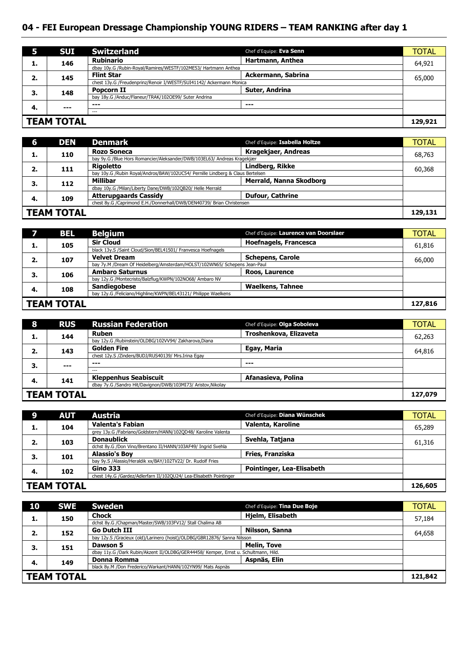## **04 - FEI European Dressage Championship YOUNG RIDERS – TEAM RANKING after day 1**

|                   | <b>SUI</b> | <b>Switzerland</b>                                             | Chef d'Equipe: Eva Senn                                             | <b>TOTAL</b> |
|-------------------|------------|----------------------------------------------------------------|---------------------------------------------------------------------|--------------|
| л.                | 146        | <b>Rubinario</b>                                               | Hartmann, Anthea                                                    | 64,921       |
|                   |            | dbay 10y.G /Rubin-Royal/Ramires/WESTF/102ME53/ Hartmann Anthea |                                                                     |              |
| 2.                | 145        | <b>Flint Star</b>                                              | Ackermann, Sabrina                                                  | 65,000       |
|                   |            |                                                                | chest 13y.G /Freudenprinz/Renoir I/WESTF/SUI41142/ Ackermann Monica |              |
| 3.                | 148        | <b>Popcorn II</b>                                              | Suter, Andrina                                                      |              |
|                   |            | bay 18y.G /Anduc/Flaneur/TRAK/102OE99/ Suter Andrina           |                                                                     |              |
| 4.                | $- - -$    | $--$                                                           | $- - -$                                                             |              |
|                   |            | $- - -$                                                        |                                                                     |              |
| <b>TEAM TOTAL</b> |            |                                                                | 129,921                                                             |              |

| 6                 | <b>DEN</b> | <b>Denmark</b>                                                                 | Chef d'Equipe: Isabella Holtze | <b>TOTAL</b> |
|-------------------|------------|--------------------------------------------------------------------------------|--------------------------------|--------------|
|                   | 110        | Rozo Soneca                                                                    | Kragekjaer, Andreas            | 68,763       |
| д.                |            | bay 9y.G /Blue Hors Romancier/Aleksander/DWB/103EL63/ Andreas Kragekjær        |                                |              |
| 2.                | 111        | <b>Rigoletto</b>                                                               | Lindberg, Rikke                | 60,368       |
|                   |            | bay 10y.G /Rubin Royal/Andros/BAW/102UC54/ Pernille Lindberg & Claus Bertelsen |                                |              |
| 3.                | 112        | Millibar                                                                       | Merrald, Nanna Skodborg        |              |
|                   |            | dbay 10y.G /Milan/Liberty Dane/DWB/102QB20/ Helle Merrald                      |                                |              |
| 4.                | 109        | <b>Atterupgaards Cassidy</b>                                                   | <b>Dufour, Cathrine</b>        |              |
|                   |            | chest 8y.G /Caprimond E.H./Donnerhall/DWB/DEN40739/ Brian Christensen          |                                |              |
| <b>TEAM TOTAL</b> |            |                                                                                | 129,131                        |              |

|    | <b>BEL</b>        | <b>Belgium</b>                                                            | Chef d'Equipe: Laurence van Doorslaer | <b>TOTAL</b> |
|----|-------------------|---------------------------------------------------------------------------|---------------------------------------|--------------|
|    | 105               | <b>Sir Cloud</b>                                                          | <b>Hoefnagels, Francesca</b>          | 61,816       |
| д. |                   | black 13y.S /Saint Cloud/Sion/BEL41501/ Franvesca Hoefnagels              |                                       |              |
| 2. | 107               | <b>Velvet Dream</b>                                                       | <b>Schepens, Carole</b>               | 66,000       |
|    |                   | bay 7y.M /Dream Of Heidelberg/Amsterdam/HOLST/102WN65/ Schepens Jean-Paul |                                       |              |
| 3. | 106               | <b>Ambaro Saturnus</b>                                                    | Roos, Laurence                        |              |
|    |                   | bay 12y.G /Montecristo/Balzflug/KWPN/102NO68/ Ambaro NV                   |                                       |              |
| 4. | 108               | <b>Sandiegobese</b>                                                       | <b>Waelkens, Tahnee</b>               |              |
|    |                   | bay 12y.G /Feliciano/Highline/KWPN/BEL43121/ Philippe Waelkens            |                                       |              |
|    | <b>TEAM TOTAL</b> |                                                                           |                                       | 127,816      |

| 8                 | <b>RUS</b> | <b>Russian Federation</b>                                    | Chef d'Equipe: Olga Soboleva | <b>TOTAL</b> |
|-------------------|------------|--------------------------------------------------------------|------------------------------|--------------|
|                   | 144        | <b>Ruben</b>                                                 | Troshenkova, Elizaveta       | 62,263       |
|                   |            | bay 12y.G /Rubinstein/OLDBG/102VV94/ Zakharova,Diana         |                              |              |
| 2.                | 143        | <b>Golden Fire</b>                                           | Egay, Maria                  | 64,816       |
|                   |            | chest 12y.S /Zinders/BUDJ/RUS40139/ Mrs.Irina Eqay           |                              |              |
| 3.                | ---        | $--$                                                         | $- - -$                      |              |
|                   |            | $- - -$                                                      |                              |              |
| -4.               | 141        | <b>Kleppenhus Seabiscuit</b>                                 | Afanasieva, Polina           |              |
|                   |            | dbay 7y.G /Sandro Hit/Davignon/DWB/103MI73/ Aristov, Nikolay |                              |              |
| <b>TEAM TOTAL</b> |            |                                                              | 127,079                      |              |

| 9                 | AUT | Austria                                                            | Chef d'Equipe: Diana Wünschek | <b>TOTAL</b> |
|-------------------|-----|--------------------------------------------------------------------|-------------------------------|--------------|
|                   | 104 | <b>Valenta's Fabian</b>                                            | Valenta, Karoline             | 65,289       |
| л.                |     | grey 13y.G /Fabriano/Goldstern/HANN/102QD48/ Karoline Valenta      |                               |              |
| 2.                | 103 | <b>Donaublick</b>                                                  | Svehla, Tatjana               | 61,316       |
|                   |     | dchst 8y.G /Don Vino/Brentano II/HANN/103AF49/ Ingrid Svehla       |                               |              |
| З.                | 101 | <b>Alassio's Boy</b>                                               | Fries, Franziska              |              |
|                   |     | bay 9y.S /Alassio/Heraldik xx/BAY/102TV22/ Dr. Rudolf Fries        |                               |              |
| 4.                | 102 | <b>Gino 333</b>                                                    | Pointinger, Lea-Elisabeth     |              |
|                   |     | chest 14y.G /Gardez/Adlerfarn II/102QU24/ Lea-Elisabeth Pointinger |                               |              |
| <b>TEAM TOTAL</b> |     |                                                                    | 126,605                       |              |

| 10                | <b>SWE</b> | <b>Sweden</b>                                                                       | Chef d'Equipe: Tina Due Boje | <b>TOTAL</b> |
|-------------------|------------|-------------------------------------------------------------------------------------|------------------------------|--------------|
| ı.                | 150        | <b>Chock</b>                                                                        | <b>Hielm, Elisabeth</b>      | 57,184       |
|                   |            | dchst 8y.G /Chapman/Master/SWB/103FV12/ Stall Chalima AB                            |                              |              |
| 2.                | 152        | <b>Go Dutch III</b>                                                                 | Nilsson, Sanna               | 64,658       |
|                   |            | bay 12y.S /Gracieux (old)/Larinero (hoist)/OLDBG/GBR12876/ Sanna Nilsson            |                              |              |
| 3.                | 151        | Dawson 5                                                                            | <b>Melin, Tove</b>           |              |
|                   |            | dbay 11y.G /Dark Rubin/Akzent II/OLDBG/GER44458/ Kemper, Ernst u. Schultmann, Hild. |                              |              |
| 4.                | 149        | Donna Romma                                                                         | Aspnäs, Elin                 |              |
|                   |            | black 8y.M /Don Frederico/Warkant/HANN/102YN99/ Mats Aspnäs                         |                              |              |
| <b>TEAM TOTAL</b> |            |                                                                                     | 121,842                      |              |